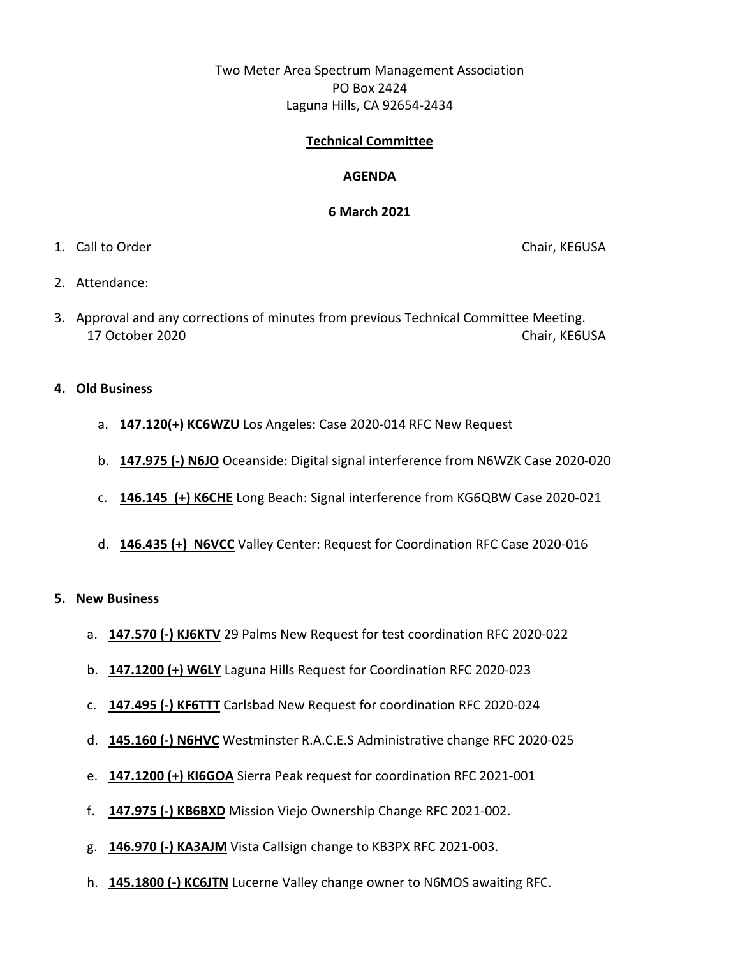## Two Meter Area Spectrum Management Association PO Box 2424 Laguna Hills, CA 92654-2434

## **Technical Committee**

## **AGENDA**

## **6 March 2021**

1. Call to Order Chair, KE6USA

- 2. Attendance:
- 3. Approval and any corrections of minutes from previous Technical Committee Meeting. 17 October 2020 Chair, KE6USA
- **4. Old Business**
	- a. **147.120(+) KC6WZU** Los Angeles: Case 2020-014 RFC New Request
	- b. **147.975 (-) N6JO** Oceanside: Digital signal interference from N6WZK Case 2020-020
	- c. **146.145 (+) K6CHE** Long Beach: Signal interference from KG6QBW Case 2020-021
	- d. **146.435 (+) N6VCC** Valley Center: Request for Coordination RFC Case 2020-016
- **5. New Business**
	- a. **147.570 (-) KJ6KTV** 29 Palms New Request for test coordination RFC 2020-022
	- b. **147.1200 (+) W6LY** Laguna Hills Request for Coordination RFC 2020-023
	- c. **147.495 (-) KF6TTT** Carlsbad New Request for coordination RFC 2020-024
	- d. **145.160 (-) N6HVC** Westminster R.A.C.E.S Administrative change RFC 2020-025
	- e. **147.1200 (+) KI6GOA** Sierra Peak request for coordination RFC 2021-001
	- f. **147.975 (-) KB6BXD** Mission Viejo Ownership Change RFC 2021-002.
	- g. **146.970 (-) KA3AJM** Vista Callsign change to KB3PX RFC 2021-003.
	- h. **145.1800 (-) KC6JTN** Lucerne Valley change owner to N6MOS awaiting RFC.